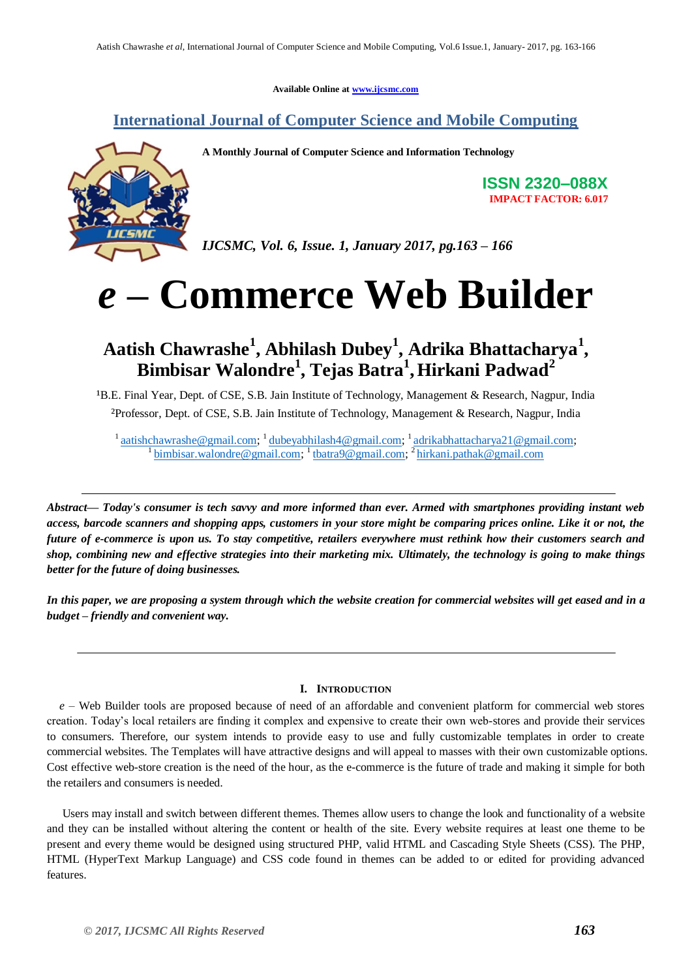**Available Online at [www.ijcsmc.com](http://www.ijcsmc.com/)**

## **International Journal of Computer Science and Mobile Computing**



**A Monthly Journal of Computer Science and Information Technology**

**ISSN 2320–088X IMPACT FACTOR: 6.017**

*IJCSMC, Vol. 6, Issue. 1, January 2017, pg.163 – 166*

# *e –* **Commerce Web Builder**

# **Aatish Chawrashe<sup>1</sup> , Abhilash Dubey<sup>1</sup> , Adrika Bhattacharya<sup>1</sup> , Bimbisar Walondre<sup>1</sup> , Tejas Batra<sup>1</sup> ,Hirkani Padwad<sup>2</sup>**

<sup>1</sup>B.E. Final Year, Dept. of CSE, S.B. Jain Institute of Technology, Management & Research, Nagpur, India ²Professor, Dept. of CSE, S.B. Jain Institute of Technology, Management & Research, Nagpur, India

<sup>1</sup> [aatishchawrashe@gmail.com;](mailto:aatishchawrashe@gmail.com) <sup>1</sup> [dubeyabhilash4@gmail.com;](mailto:dubeyabhilash4@gmail.com) <sup>1</sup> [adrikabhattacharya21@gmail.com;](mailto:adrikabhattacharya21@gmail.com) <sup>1</sup> [bimbisar.walondre@gmail.com;](mailto:bimbisar.walondre@gmail.com)<sup>1</sup> [tbatra9@gmail.com;](mailto:tbatra9@gmail.com)<sup>2</sup> [hirkani.pathak@gmail.com](mailto:hirkani.pathak@gmail.com)

*Abstract— Today's consumer is tech savvy and more informed than ever. Armed with smartphones providing instant web access, barcode scanners and shopping apps, customers in your store might be comparing prices online. Like it or not, the future of e-commerce is upon us. To stay competitive, retailers everywhere must rethink how their customers search and shop, combining new and effective strategies into their marketing mix. Ultimately, the technology is going to make things better for the future of doing businesses.*

*In this paper, we are proposing a system through which the website creation for commercial websites will get eased and in a budget – friendly and convenient way.* 

#### **I. INTRODUCTION**

*e –* Web Builder tools are proposed because of need of an affordable and convenient platform for commercial web stores creation. Today"s local retailers are finding it complex and expensive to create their own web-stores and provide their services to consumers. Therefore, our system intends to provide easy to use and fully customizable templates in order to create commercial websites. The Templates will have attractive designs and will appeal to masses with their own customizable options. Cost effective web-store creation is the need of the hour, as the e-commerce is the future of trade and making it simple for both the retailers and consumers is needed.

Users may install and switch between different themes. Themes allow users to change the look and functionality of a website and they can be installed without altering the content or health of the site. Every website requires at least one theme to be present and every theme would be designed using structured PHP, valid HTML and Cascading Style Sheets (CSS). The PHP, HTML (HyperText Markup Language) and CSS code found in themes can be added to or edited for providing advanced features.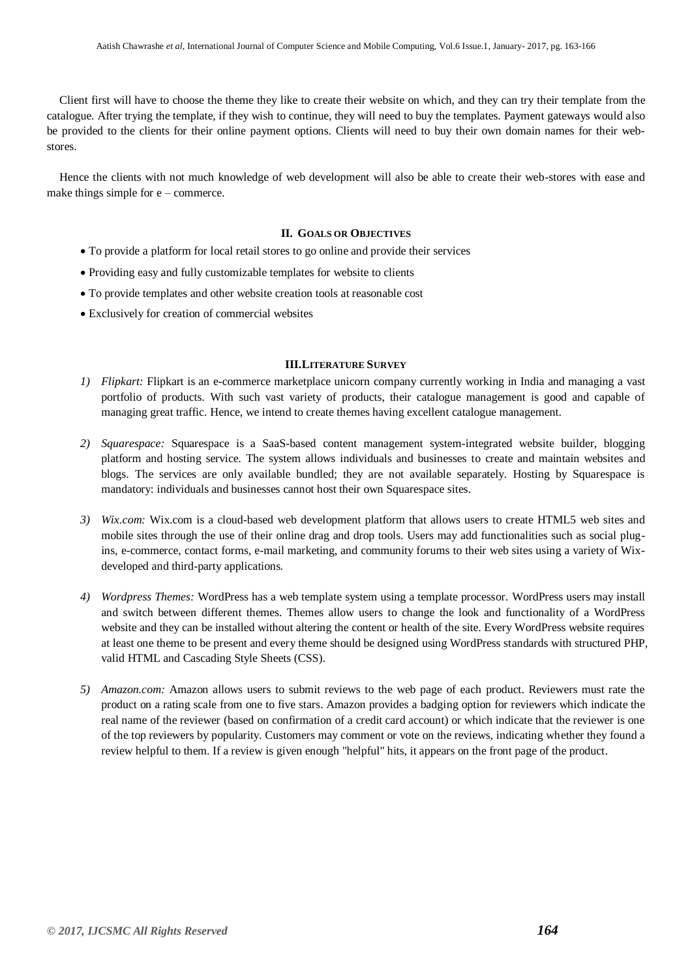Client first will have to choose the theme they like to create their website on which, and they can try their template from the catalogue. After trying the template, if they wish to continue, they will need to buy the templates. Payment gateways would also be provided to the clients for their online payment options. Clients will need to buy their own domain names for their webstores.

Hence the clients with not much knowledge of web development will also be able to create their web-stores with ease and make things simple for  $e$  – commerce.

#### **II. GOALS OR OBJECTIVES**

- To provide a platform for local retail stores to go online and provide their services
- Providing easy and fully customizable templates for website to clients
- To provide templates and other website creation tools at reasonable cost
- Exclusively for creation of commercial websites

#### **III.LITERATURE SURVEY**

- *1) Flipkart:* Flipkart is an e-commerce marketplace unicorn company currently working in India and managing a vast portfolio of products. With such vast variety of products, their catalogue management is good and capable of managing great traffic. Hence, we intend to create themes having excellent catalogue management.
- *2) Squarespace:* Squarespace is a SaaS-based content management system-integrated website builder, blogging platform and hosting service. The system allows individuals and businesses to create and maintain websites and blogs. The services are only available bundled; they are not available separately. Hosting by Squarespace is mandatory: individuals and businesses cannot host their own Squarespace sites.
- *3) Wix.com:* Wix.com is a cloud-based web development platform that allows users to create HTML5 web sites and mobile sites through the use of their online drag and drop tools. Users may add functionalities such as social plugins, e-commerce, contact forms, e-mail marketing, and community forums to their web sites using a variety of Wixdeveloped and third-party applications.
- *4) Wordpress Themes:* WordPress has a web template system using a template processor. WordPress users may install and switch between different themes. Themes allow users to change the look and functionality of a WordPress website and they can be installed without altering the content or health of the site. Every WordPress website requires at least one theme to be present and every theme should be designed using WordPress standards with structured PHP, valid HTML and Cascading Style Sheets (CSS).
- *5) Amazon.com:* Amazon allows users to submit reviews to the web page of each product. Reviewers must rate the product on a rating scale from one to five stars. Amazon provides a badging option for reviewers which indicate the real name of the reviewer (based on confirmation of a credit card account) or which indicate that the reviewer is one of the top reviewers by popularity. Customers may comment or vote on the reviews, indicating whether they found a review helpful to them. If a review is given enough "helpful" hits, it appears on the front page of the product*.*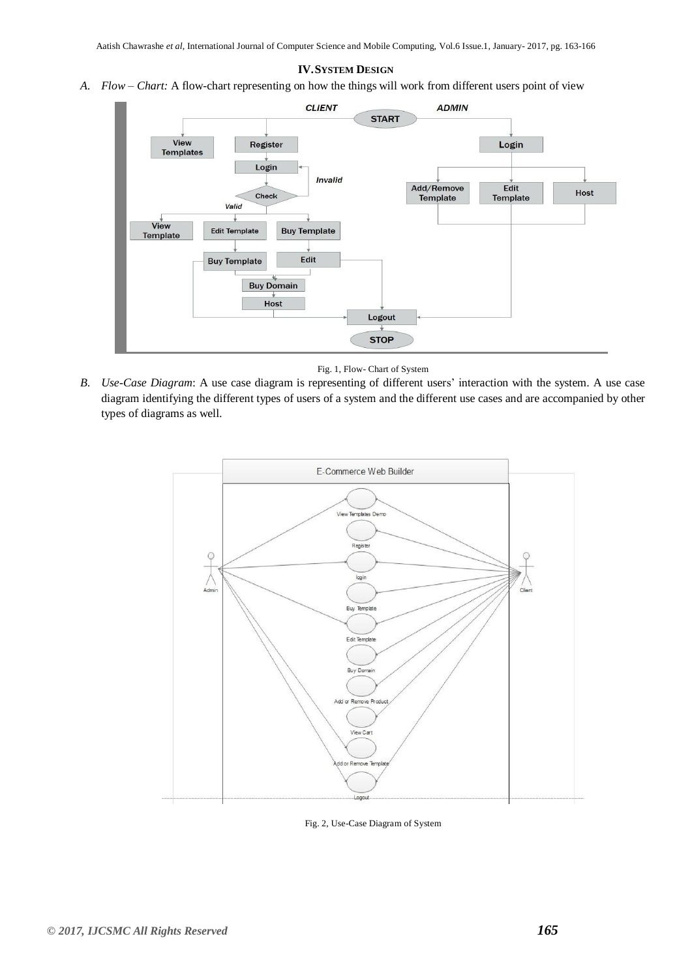#### **IV.SYSTEM DESIGN**

*A. Flow – Chart:* A flow-chart representing on how the things will work from different users point of view



Fig. 1, Flow- Chart of System

*B. Use-Case Diagram*: A use case diagram is representing of different users' interaction with the system. A use case diagram identifying the different types of users of a system and the different use cases and are accompanied by other types of diagrams as well*.*



Fig. 2, Use-Case Diagram of System